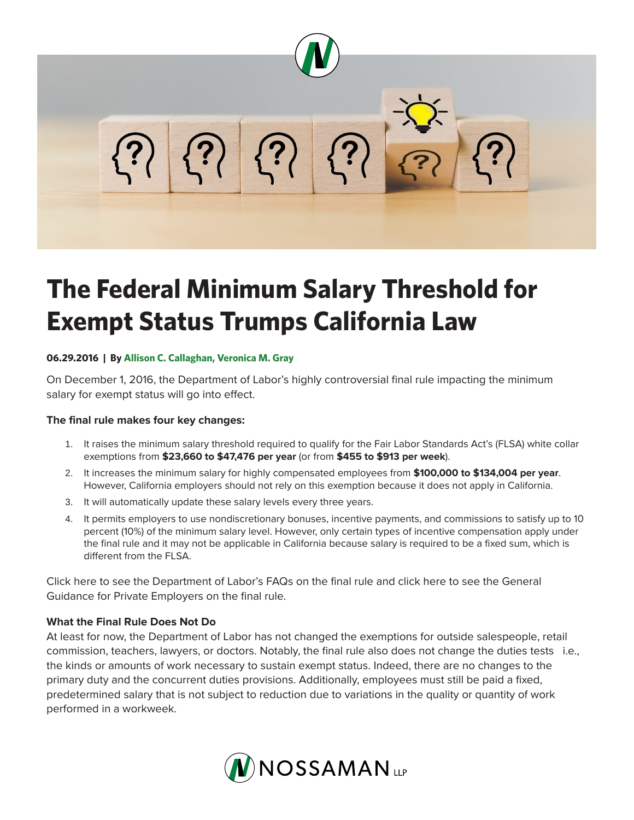

# **The Federal Minimum Salary Threshold for Exempt Status Trumps California Law**

## **06.29.2016 | By Allison C. Callaghan, Veronica M. Gray**

On December 1, 2016, the Department of Labor's highly controversial final rule impacting the minimum salary for exempt status will go into effect.

## **The final rule makes four key changes:**

- 1. It raises the minimum salary threshold required to qualify for the Fair Labor Standards Act's (FLSA) white collar exemptions from **\$23,660 to \$47,476 per year** (or from **\$455 to \$913 per week**).
- 2. It increases the minimum salary for highly compensated employees from **\$100,000 to \$134,004 per year**. However, California employers should not rely on this exemption because it does not apply in California.
- 3. It will automatically update these salary levels every three years.
- 4. It permits employers to use nondiscretionary bonuses, incentive payments, and commissions to satisfy up to 10 percent (10%) of the minimum salary level. However, only certain types of incentive compensation apply under the final rule and it may not be applicable in California because salary is required to be a fixed sum, which is different from the FLSA.

Click here to see the Department of Labor's FAQs on the final rule and click here to see the General Guidance for Private Employers on the final rule.

## **What the Final Rule Does Not Do**

At least for now, the Department of Labor has not changed the exemptions for outside salespeople, retail commission, teachers, lawyers, or doctors. Notably, the final rule also does not change the duties tests i.e., the kinds or amounts of work necessary to sustain exempt status. Indeed, there are no changes to the primary duty and the concurrent duties provisions. Additionally, employees must still be paid a fixed, predetermined salary that is not subject to reduction due to variations in the quality or quantity of work performed in a workweek.